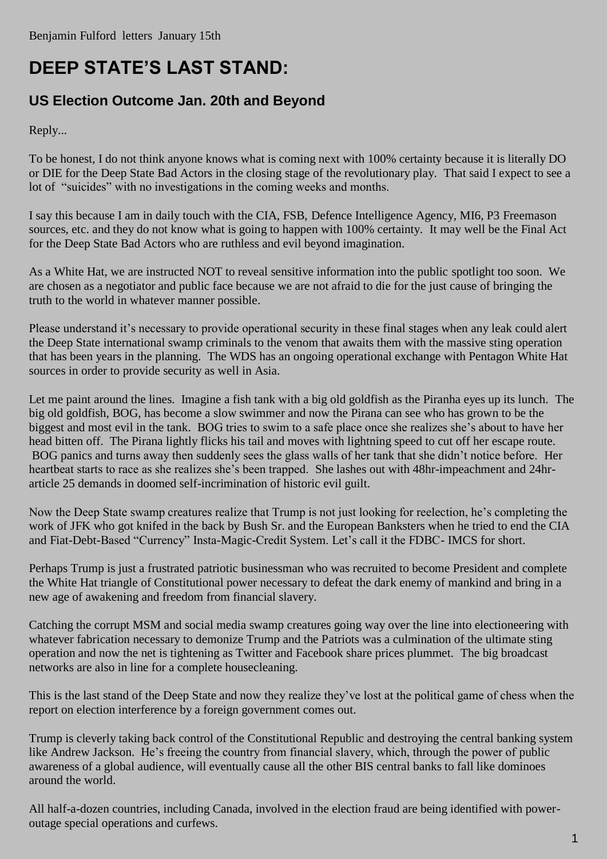## **DEEP STATE'S LAST STAND:**

## **US Election Outcome Jan. 20th and Beyond**

Reply...

To be honest, I do not think anyone knows what is coming next with 100% certainty because it is literally DO or DIE for the Deep State Bad Actors in the closing stage of the revolutionary play. That said I expect to see a lot of "suicides" with no investigations in the coming weeks and months.

I say this because I am in daily touch with the CIA, FSB, Defence Intelligence Agency, MI6, P3 Freemason sources, etc. and they do not know what is going to happen with 100% certainty. It may well be the Final Act for the Deep State Bad Actors who are ruthless and evil beyond imagination.

As a White Hat, we are instructed NOT to reveal sensitive information into the public spotlight too soon. We are chosen as a negotiator and public face because we are not afraid to die for the just cause of bringing the truth to the world in whatever manner possible.

Please understand it's necessary to provide operational security in these final stages when any leak could alert the Deep State international swamp criminals to the venom that awaits them with the massive sting operation that has been years in the planning. The WDS has an ongoing operational exchange with Pentagon White Hat sources in order to provide security as well in Asia.

Let me paint around the lines. Imagine a fish tank with a big old goldfish as the Piranha eyes up its lunch. The big old goldfish, BOG, has become a slow swimmer and now the Pirana can see who has grown to be the biggest and most evil in the tank. BOG tries to swim to a safe place once she realizes she's about to have her head bitten off. The Pirana lightly flicks his tail and moves with lightning speed to cut off her escape route. BOG panics and turns away then suddenly sees the glass walls of her tank that she didn't notice before. Her heartbeat starts to race as she realizes she's been trapped. She lashes out with 48hr-impeachment and 24hrarticle 25 demands in doomed self-incrimination of historic evil guilt.

Now the Deep State swamp creatures realize that Trump is not just looking for reelection, he's completing the work of JFK who got knifed in the back by Bush Sr. and the European Banksters when he tried to end the CIA and Fiat-Debt-Based "Currency" Insta-Magic-Credit System. Let's call it the FDBC- IMCS for short.

Perhaps Trump is just a frustrated patriotic businessman who was recruited to become President and complete the White Hat triangle of Constitutional power necessary to defeat the dark enemy of mankind and bring in a new age of awakening and freedom from financial slavery.

Catching the corrupt MSM and social media swamp creatures going way over the line into electioneering with whatever fabrication necessary to demonize Trump and the Patriots was a culmination of the ultimate sting operation and now the net is tightening as Twitter and Facebook share prices plummet. The big broadcast networks are also in line for a complete housecleaning.

This is the last stand of the Deep State and now they realize they've lost at the political game of chess when the report on election interference by a foreign government comes out.

Trump is cleverly taking back control of the Constitutional Republic and destroying the central banking system like Andrew Jackson. He's freeing the country from financial slavery, which, through the power of public awareness of a global audience, will eventually cause all the other BIS central banks to fall like dominoes around the world.

All half-a-dozen countries, including Canada, involved in the election fraud are being identified with poweroutage special operations and curfews.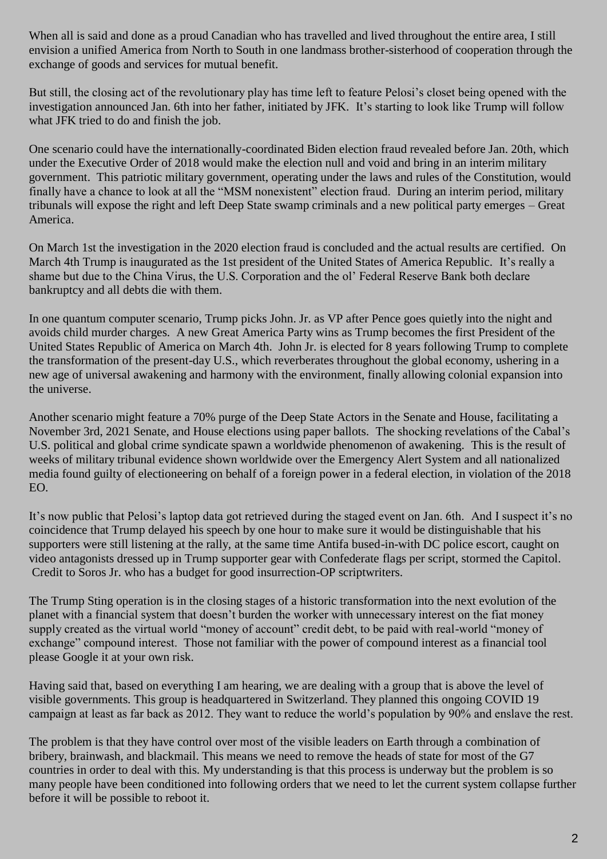When all is said and done as a proud Canadian who has travelled and lived throughout the entire area, I still envision a unified America from North to South in one landmass brother-sisterhood of cooperation through the exchange of goods and services for mutual benefit.

But still, the closing act of the revolutionary play has time left to feature Pelosi's closet being opened with the investigation announced Jan. 6th into her father, initiated by JFK. It's starting to look like Trump will follow what JFK tried to do and finish the job.

One scenario could have the internationally-coordinated Biden election fraud revealed before Jan. 20th, which under the Executive Order of 2018 would make the election null and void and bring in an interim military government. This patriotic military government, operating under the laws and rules of the Constitution, would finally have a chance to look at all the "MSM nonexistent" election fraud. During an interim period, military tribunals will expose the right and left Deep State swamp criminals and a new political party emerges – Great America.

On March 1st the investigation in the 2020 election fraud is concluded and the actual results are certified. On March 4th Trump is inaugurated as the 1st president of the United States of America Republic. It's really a shame but due to the China Virus, the U.S. Corporation and the ol' Federal Reserve Bank both declare bankruptcy and all debts die with them.

In one quantum computer scenario, Trump picks John. Jr. as VP after Pence goes quietly into the night and avoids child murder charges. A new Great America Party wins as Trump becomes the first President of the United States Republic of America on March 4th. John Jr. is elected for 8 years following Trump to complete the transformation of the present-day U.S., which reverberates throughout the global economy, ushering in a new age of universal awakening and harmony with the environment, finally allowing colonial expansion into the universe.

Another scenario might feature a 70% purge of the Deep State Actors in the Senate and House, facilitating a November 3rd, 2021 Senate, and House elections using paper ballots. The shocking revelations of the Cabal's U.S. political and global crime syndicate spawn a worldwide phenomenon of awakening. This is the result of weeks of military tribunal evidence shown worldwide over the Emergency Alert System and all nationalized media found guilty of electioneering on behalf of a foreign power in a federal election, in violation of the 2018 EO.

It's now public that Pelosi's laptop data got retrieved during the staged event on Jan. 6th. And I suspect it's no coincidence that Trump delayed his speech by one hour to make sure it would be distinguishable that his supporters were still listening at the rally, at the same time Antifa bused-in-with DC police escort, caught on video antagonists dressed up in Trump supporter gear with Confederate flags per script, stormed the Capitol. Credit to Soros Jr. who has a budget for good insurrection-OP scriptwriters.

The Trump Sting operation is in the closing stages of a historic transformation into the next evolution of the planet with a financial system that doesn't burden the worker with unnecessary interest on the fiat money supply created as the virtual world "money of account" credit debt, to be paid with real-world "money of exchange" compound interest. Those not familiar with the power of compound interest as a financial tool please Google it at your own risk.

Having said that, based on everything I am hearing, we are dealing with a group that is above the level of visible governments. This group is headquartered in Switzerland. They planned this ongoing COVID 19 campaign at least as far back as 2012. They want to reduce the world's population by 90% and enslave the rest.

The problem is that they have control over most of the visible leaders on Earth through a combination of bribery, brainwash, and blackmail. This means we need to remove the heads of state for most of the G7 countries in order to deal with this. My understanding is that this process is underway but the problem is so many people have been conditioned into following orders that we need to let the current system collapse further before it will be possible to reboot it.